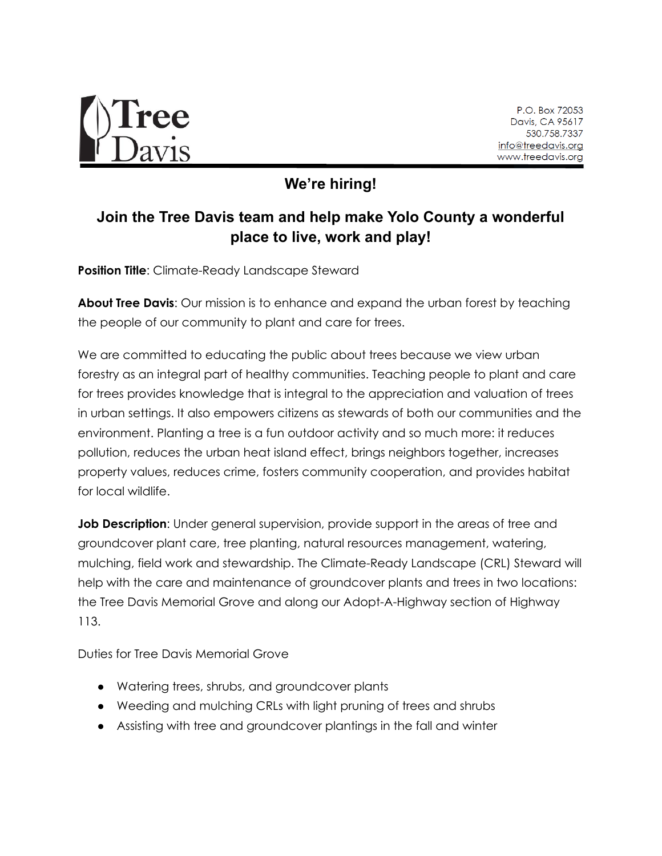

P.O. Box 72053 Davis, CA 95617 530.758.7337 info@treedavis.org www.treedavis.org

**We're hiring!**

## **Join the Tree Davis team and help make Yolo County a wonderful place to live, work and play!**

**Position Title:** Climate-Ready Landscape Steward

**About Tree Davis**: Our mission is to enhance and expand the urban forest by teaching the people of our community to plant and care for trees.

We are committed to educating the public about trees because we view urban forestry as an integral part of healthy communities. Teaching people to plant and care for trees provides knowledge that is integral to the appreciation and valuation of trees in urban settings. It also empowers citizens as stewards of both our communities and the environment. Planting a tree is a fun outdoor activity and so much more: it reduces pollution, reduces the urban heat island effect, brings neighbors together, increases property values, reduces crime, fosters community cooperation, and provides habitat for local wildlife.

**Job Description:** Under general supervision, provide support in the areas of tree and groundcover plant care, tree planting, natural resources management, watering, mulching, field work and stewardship. The Climate-Ready Landscape (CRL) Steward will help with the care and maintenance of groundcover plants and trees in two locations: the Tree Davis Memorial Grove and along our Adopt-A-Highway section of Highway 113.

Duties for Tree Davis Memorial Grove

- Watering trees, shrubs, and groundcover plants
- Weeding and mulching CRLs with light pruning of trees and shrubs
- Assisting with tree and groundcover plantings in the fall and winter